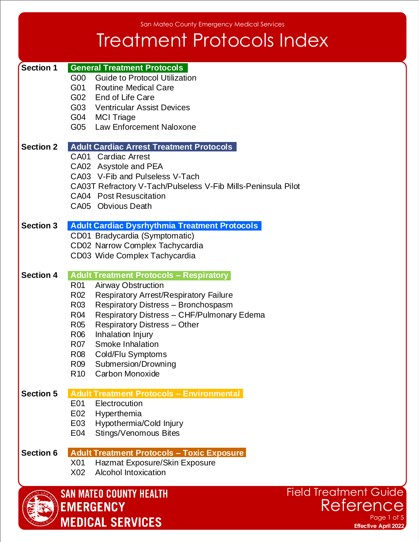### Treatment Protocols Index

| <b>Section 1</b> |                 | <b>General Treatment Protocols</b>                            |
|------------------|-----------------|---------------------------------------------------------------|
|                  | G00             | <b>Guide to Protocol Utilization</b>                          |
|                  |                 | G01 Routine Medical Care                                      |
|                  |                 | G02 End of Life Care                                          |
|                  |                 | G03 Ventricular Assist Devices                                |
|                  |                 | G04 MCI Triage                                                |
|                  |                 | G05 Law Enforcement Naloxone                                  |
|                  |                 |                                                               |
| <b>Section 2</b> |                 | <b>Adult Cardiac Arrest Treatment Protocols</b>               |
|                  |                 | CA01 Cardiac Arrest                                           |
|                  |                 | CA02 Asystole and PEA                                         |
|                  |                 | CA03 V-Fib and Pulseless V-Tach                               |
|                  |                 | CA03T Refractory V-Tach/Pulseless V-Fib Mills-Peninsula Pilot |
|                  |                 | CA04 Post Resuscitation                                       |
|                  |                 | CA05 Obvious Death                                            |
| <b>Section 3</b> |                 | <b>Adult Cardiac Dysrhythmia Treatment Protocols</b>          |
|                  |                 | CD01 Bradycardia (Symptomatic)                                |
|                  |                 | CD02 Narrow Complex Tachycardia                               |
|                  |                 | CD03 Wide Complex Tachycardia                                 |
|                  |                 |                                                               |
| <b>Section 4</b> |                 | <b>Adult Treatment Protocols - Respiratory</b>                |
|                  | R01             | <b>Airway Obstruction</b>                                     |
|                  | R <sub>02</sub> | <b>Respiratory Arrest/Respiratory Failure</b>                 |
|                  | R <sub>03</sub> | Respiratory Distress - Bronchospasm                           |
|                  | R04             | Respiratory Distress - CHF/Pulmonary Edema                    |
|                  | R <sub>05</sub> | <b>Respiratory Distress - Other</b>                           |
|                  | R06             | Inhalation Injury                                             |
|                  | R07             | Smoke Inhalation                                              |
|                  | R08             | Cold/Flu Symptoms                                             |
|                  | R09             | Submersion/Drowning                                           |
|                  | R <sub>10</sub> | Carbon Monoxide                                               |
| <b>Section 5</b> |                 | <b>Adult Treatment Protocols - Environmental</b>              |
|                  | E01             | Electrocution                                                 |
|                  | E02             | Hyperthemia                                                   |
|                  | E03             | Hypothermia/Cold Injury                                       |
|                  | E04             | Stings/Venomous Bites                                         |
|                  |                 |                                                               |
| <b>Section 6</b> |                 | <b>Adult Treatment Protocols - Toxic Exposure</b>             |
|                  | X01             | Hazmat Exposure/Skin Exposure                                 |
|                  | X02             | <b>Alcohol Intoxication</b>                                   |
|                  |                 |                                                               |
|                  |                 | Fiel<br><b>SAN MATEO COUNTY HEALTH</b>                        |

**EMERGENCY** 

**MEDICAL SERVICES** 



Page 1 of 5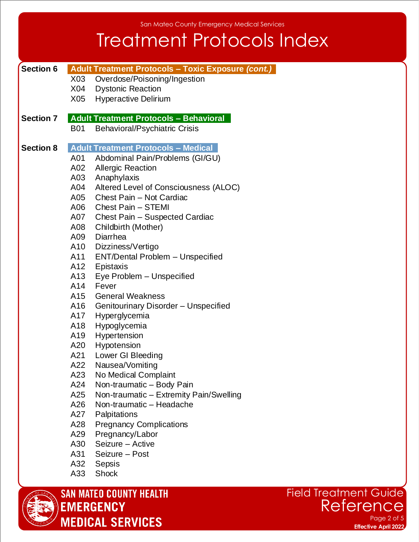San Mateo County Emergency Medical Services

#### Treatment Protocols Index

| <b>Section 6</b> |            | Adult Treatment Protocols - Toxic Exposure (cont.) |
|------------------|------------|----------------------------------------------------|
|                  |            | X03 Overdose/Poisoning/Ingestion                   |
|                  |            | X04 Dystonic Reaction                              |
|                  |            | X05 Hyperactive Delirium                           |
|                  |            |                                                    |
| <b>Section 7</b> |            | <b>Adult Treatment Protocols - Behavioral</b>      |
|                  | <b>B01</b> | <b>Behavioral/Psychiatric Crisis</b>               |
| <b>Section 8</b> |            | <b>Adult Treatment Protocols - Medical</b>         |
|                  | A01        | Abdominal Pain/Problems (GI/GU)                    |
|                  | A02        | <b>Allergic Reaction</b>                           |
|                  | A03        | Anaphylaxis                                        |
|                  | A04        | Altered Level of Consciousness (ALOC)              |
|                  |            | A05 Chest Pain - Not Cardiac                       |
|                  |            | A06 Chest Pain - STEMI                             |
|                  |            | A07 Chest Pain - Suspected Cardiac                 |
|                  | A08        | Childbirth (Mother)                                |
|                  | A09        | Diarrhea                                           |
|                  |            | A10 Dizziness/Vertigo                              |
|                  |            | A11 ENT/Dental Problem - Unspecified               |
|                  |            | A12 Epistaxis                                      |
|                  | A13        | Eye Problem - Unspecified                          |
|                  | A14        | Fever                                              |
|                  |            | A15 General Weakness                               |
|                  |            | A16 Genitourinary Disorder - Unspecified           |
|                  | A17        | Hyperglycemia                                      |
|                  | A18        | Hypoglycemia                                       |
|                  | A19        | Hypertension                                       |
|                  | A20        | Hypotension                                        |
|                  | A21        | Lower GI Bleeding                                  |
|                  | A22        | Nausea/Vomiting                                    |
|                  |            | A23 No Medical Complaint                           |
|                  | A24        | Non-traumatic - Body Pain                          |
|                  | A25        | Non-traumatic - Extremity Pain/Swelling            |
|                  | A26        | Non-traumatic - Headache                           |
|                  | A27        | Palpitations                                       |
|                  | A28        | <b>Pregnancy Complications</b>                     |
|                  | A29        | Pregnancy/Labor                                    |
|                  | A30        | Seizure - Active                                   |
|                  | A31        | Seizure - Post                                     |
|                  | A32        | Sepsis                                             |
|                  | A33        | <b>Shock</b>                                       |



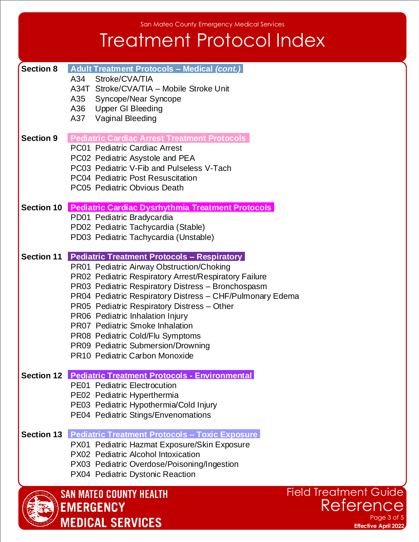San Mateo County Emergency Medical Services

# Treatment Protocol Index

| PE02 Pediatric Hyperthermia<br>PE03 Pediatric Hypothermia/Cold Injury<br>PE04 Pediatric Stings/Envenomations<br><b>Section 13 Pediatric Treatment Protocols - Toxic Exposure</b><br>PX01 Pediatric Hazmat Exposure/Skin Exposure<br>PX02 Pediatric Alcohol Intoxication<br>PX03 Pediatric Overdose/Poisoning/Ingestion<br>PX04 Pediatric Dystonic Reaction<br><b>SAN MATEO COUNTY HEALTH</b><br><b>EMERGENCY</b> | <b>Field Treatment Guide</b><br>Reference                                                                                                                                                                                                                                              |
|------------------------------------------------------------------------------------------------------------------------------------------------------------------------------------------------------------------------------------------------------------------------------------------------------------------------------------------------------------------------------------------------------------------|----------------------------------------------------------------------------------------------------------------------------------------------------------------------------------------------------------------------------------------------------------------------------------------|
|                                                                                                                                                                                                                                                                                                                                                                                                                  |                                                                                                                                                                                                                                                                                        |
|                                                                                                                                                                                                                                                                                                                                                                                                                  |                                                                                                                                                                                                                                                                                        |
|                                                                                                                                                                                                                                                                                                                                                                                                                  |                                                                                                                                                                                                                                                                                        |
|                                                                                                                                                                                                                                                                                                                                                                                                                  |                                                                                                                                                                                                                                                                                        |
|                                                                                                                                                                                                                                                                                                                                                                                                                  |                                                                                                                                                                                                                                                                                        |
| <b>PE01</b> Pediatric Electrocution                                                                                                                                                                                                                                                                                                                                                                              |                                                                                                                                                                                                                                                                                        |
| PR10 Pediatric Carbon Monoxide                                                                                                                                                                                                                                                                                                                                                                                   |                                                                                                                                                                                                                                                                                        |
| PR08 Pediatric Cold/Flu Symptoms<br>PR09 Pediatric Submersion/Drowning                                                                                                                                                                                                                                                                                                                                           |                                                                                                                                                                                                                                                                                        |
| PR06 Pediatric Inhalation Injury<br><b>PR07 Pediatric Smoke Inhalation</b>                                                                                                                                                                                                                                                                                                                                       |                                                                                                                                                                                                                                                                                        |
| PR04 Pediatric Respiratory Distress - CHF/Pulmonary Edema<br>PR05 Pediatric Respiratory Distress - Other                                                                                                                                                                                                                                                                                                         |                                                                                                                                                                                                                                                                                        |
| PR02 Pediatric Respiratory Arrest/Respiratory Failure<br>PR03 Pediatric Respiratory Distress - Bronchospasm                                                                                                                                                                                                                                                                                                      |                                                                                                                                                                                                                                                                                        |
| <b>Pediatric Treatment Protocols - Respiratory</b><br>PR01 Pediatric Airway Obstruction/Choking                                                                                                                                                                                                                                                                                                                  |                                                                                                                                                                                                                                                                                        |
| PD03 Pediatric Tachycardia (Unstable)                                                                                                                                                                                                                                                                                                                                                                            |                                                                                                                                                                                                                                                                                        |
| PD01 Pediatric Bradycardia                                                                                                                                                                                                                                                                                                                                                                                       |                                                                                                                                                                                                                                                                                        |
|                                                                                                                                                                                                                                                                                                                                                                                                                  |                                                                                                                                                                                                                                                                                        |
| <b>PC04 Pediatric Post Resuscitation</b><br>PC05 Pediatric Obvious Death                                                                                                                                                                                                                                                                                                                                         |                                                                                                                                                                                                                                                                                        |
| PC02 Pediatric Asystole and PEA<br>PC03 Pediatric V-Fib and Pulseless V-Tach                                                                                                                                                                                                                                                                                                                                     |                                                                                                                                                                                                                                                                                        |
| <b>Pediatric Cardiac Arrest Treatment Protocols</b><br><b>PC01 Pediatric Cardiac Arrest</b>                                                                                                                                                                                                                                                                                                                      |                                                                                                                                                                                                                                                                                        |
| A37 Vaginal Bleeding                                                                                                                                                                                                                                                                                                                                                                                             |                                                                                                                                                                                                                                                                                        |
| A35 Syncope/Near Syncope                                                                                                                                                                                                                                                                                                                                                                                         |                                                                                                                                                                                                                                                                                        |
| Stroke/CVA/TIA<br>A34                                                                                                                                                                                                                                                                                                                                                                                            |                                                                                                                                                                                                                                                                                        |
|                                                                                                                                                                                                                                                                                                                                                                                                                  | Adult Treatment Protocols - Medical (cont.)<br>A34T Stroke/CVA/TIA - Mobile Stroke Unit<br>A36 Upper GI Bleeding<br><b>Pediatric Cardiac Dysrhythmia Treatment Protocols</b><br>PD02 Pediatric Tachycardia (Stable)<br><b>Section 12 Pediatric Treatment Protocols - Environmental</b> |

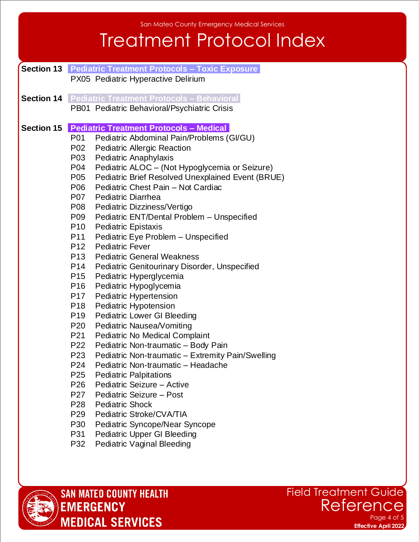### Treatment Protocol Index

- **Section 13 Pediatric Treatment Protocols Toxic Exposure** PX05 Pediatric Hyperactive Delirium
- **Section 14 Pediatric Treatment Protocols – Behavioral** PB01 Pediatric Behavioral/Psychiatric Crisis
- **Section 15 Pediatric Treatment Protocols – Medical** 
	- P01 Pediatric Abdominal Pain/Problems (GI/GU)
	- P02 Pediatric Allergic Reaction
	- P03 Pediatric Anaphylaxis
	- P04 Pediatric ALOC (Not Hypoglycemia or Seizure)
	- P05 Pediatric Brief Resolved Unexplained Event (BRUE)
	- P06 Pediatric Chest Pain Not Cardiac
	- P07 Pediatric Diarrhea
	- P08 Pediatric Dizziness/Vertigo
	- P09 Pediatric ENT/Dental Problem Unspecified
	- P10 Pediatric Epistaxis
	- P11 Pediatric Eye Problem Unspecified
	- P12 Pediatric Fever
	- P13 Pediatric General Weakness
	- P14 Pediatric Genitourinary Disorder, Unspecified
	- P15 Pediatric Hyperglycemia
	- P16 Pediatric Hypoglycemia
	- P17 Pediatric Hypertension
	- P18 Pediatric Hypotension
	- P19 Pediatric Lower GI Bleeding
	- P20 Pediatric Nausea/Vomiting
	- P21 Pediatric No Medical Complaint
	- P22 Pediatric Non-traumatic Body Pain
	- P23 Pediatric Non-traumatic Extremity Pain/Swelling
	- P24 Pediatric Non-traumatic Headache
	- P25 Pediatric Palpitations
	- P26 Pediatric Seizure Active
	- P27 Pediatric Seizure Post
	- P28 Pediatric Shock
	- P29 Pediatric Stroke/CVA/TIA
	- P30 Pediatric Syncope/Near Syncope
	- P31 Pediatric Upper GI Bleeding
	- P32 Pediatric Vaginal Bleeding